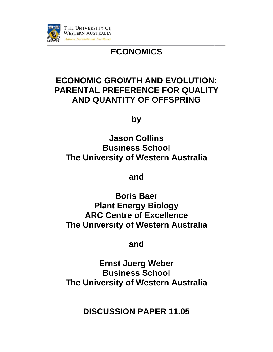

# **ECONOMICS**

# **ECONOMIC GROWTH AND EVOLUTION: PARENTAL PREFERENCE FOR QUALITY** AND QUANTITY OF OFFSPRING

by

**Jason Collins Business School** The University of Western Australia

and

**Boris Baer Plant Energy Biology ARC Centre of Excellence** The University of Western Australia

and

**Ernst Juerg Weber Business School** The University of Western Australia

**DISCUSSION PAPER 11.05**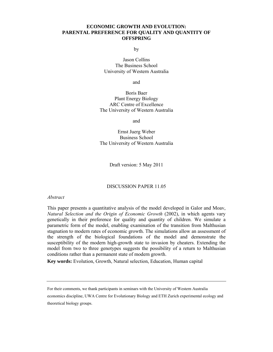# **ECONOMIC GROWTH AND EVOLUTION: PARENTAL PREFERENCE FOR QUALITY AND QUANTITY OF OFFSPRING**

by

Jason Collins The Business School University of Western Australia

and

Boris Baer Plant Energy Biology ARC Centre of Excellence The University of Western Australia

and

Ernst Juerg Weber Business School The University of Western Australia

Draft version: 5 May 2011

#### DISCUSSION PAPER 11.05

*Abstract* 

This paper presents a quantitative analysis of the model developed in Galor and Moav, *Natural Selection and the Origin of Economic Growth* (2002), in which agents vary genetically in their preference for quality and quantity of children. We simulate a parametric form of the model, enabling examination of the transition from Malthusian stagnation to modern rates of economic growth. The simulations allow an assessment of the strength of the biological foundations of the model and demonstrate the susceptibility of the modern high-growth state to invasion by cheaters. Extending the model from two to three genotypes suggests the possibility of a return to Malthusian conditions rather than a permanent state of modern growth.

**Key words:** Evolution, Growth, Natural selection, Education, Human capital

For their comments, we thank participants in seminars with the University of Western Australia

economics discipline, UWA Centre for Evolutionary Biology and ETH Zurich experimental ecology and theoretical biology groups.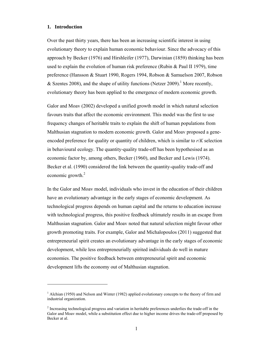# **1. Introduction**

 $\overline{a}$ 

Over the past thirty years, there has been an increasing scientific interest in using evolutionary theory to explain human economic behaviour. Since the advocacy of this approach by Becker (1976) and Hirshleifer (1977), Darwinian (1859) thinking has been used to explain the evolution of human risk preference (Rubin  $\&$  Paul II 1979), time preference (Hansson & Stuart 1990, Rogers 1994, Robson & Samuelson 2007, Robson & Szentes 2008), and the shape of utility functions (Netzer 2009).<sup>1</sup> More recently, evolutionary theory has been applied to the emergence of modern economic growth.

Galor and Moav (2002) developed a unified growth model in which natural selection favours traits that affect the economic environment. This model was the first to use frequency changes of heritable traits to explain the shift of human populations from Malthusian stagnation to modern economic growth. Galor and Moav proposed a geneencoded preference for quality or quantity of children, which is similar to *r*/*K* selection in behavioural ecology. The quantity-quality trade-off has been hypothesised as an economic factor by, among others, Becker (1960), and Becker and Lewis (1974). Becker et al. (1990) considered the link between the quantity-quality trade-off and economic growth.<sup>2</sup>

In the Galor and Moav model, individuals who invest in the education of their children have an evolutionary advantage in the early stages of economic development. As technological progress depends on human capital and the returns to education increase with technological progress, this positive feedback ultimately results in an escape from Malthusian stagnation. Galor and Moav noted that natural selection might favour other growth promoting traits. For example, Galor and Michalopoulos (2011) suggested that entrepreneurial spirit creates an evolutionary advantage in the early stages of economic development, while less entrepreneurially spirited individuals do well in mature economies. The positive feedback between entrepreneurial spirit and economic development lifts the economy out of Malthusian stagnation.

<sup>&</sup>lt;sup>1</sup> Alchian (1950) and Nelson and Winter (1982) applied evolutionary concepts to the theory of firm and industrial organization.

 $2^{2}$  Increasing technological progress and variation in heritable preferences underlies the trade-off in the Galor and Moav model, while a substitution effect due to higher income drives the trade-off proposed by Becker at al.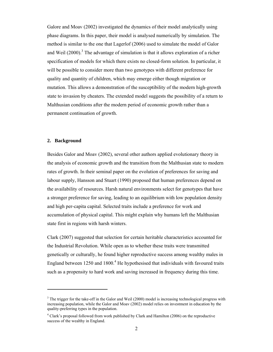Galore and Moav (2002) investigated the dynamics of their model analytically using phase diagrams. In this paper, their model is analysed numerically by simulation. The method is similar to the one that Lagerlof (2006) used to simulate the model of Galor and Weil  $(2000)$ .<sup>3</sup> The advantage of simulation is that it allows exploration of a richer specification of models for which there exists no closed-form solution. In particular, it will be possible to consider more than two genotypes with different preference for quality and quantity of children, which may emerge either though migration or mutation. This allows a demonstration of the susceptibility of the modern high-growth state to invasion by cheaters. The extended model suggests the possibility of a return to Malthusian conditions after the modern period of economic growth rather than a permanent continuation of growth.

### **2. Background**

Besides Galor and Moav (2002), several other authors applied evolutionary theory in the analysis of economic growth and the transition from the Malthusian state to modern rates of growth. In their seminal paper on the evolution of preferences for saving and labour supply, Hansson and Stuart (1990) proposed that human preferences depend on the availability of resources. Harsh natural environments select for genotypes that have a stronger preference for saving, leading to an equilibrium with low population density and high per-capita capital. Selected traits include a preference for work and accumulation of physical capital. This might explain why humans left the Malthusian state first in regions with harsh winters.

Clark (2007) suggested that selection for certain heritable characteristics accounted for the Industrial Revolution. While open as to whether these traits were transmitted genetically or culturally, he found higher reproductive success among wealthy males in England between  $1250$  and  $1800<sup>4</sup>$  He hypothesised that individuals with favoured traits such as a propensity to hard work and saving increased in frequency during this time.

<sup>&</sup>lt;sup>3</sup> The trigger for the take-off in the Galor and Weil (2000) model is increasing technological progress with increasing population, while the Galor and Moav (2002) model relies on investment in education by the quality-preferring types in the population.

<sup>&</sup>lt;sup>4</sup> Clark's proposal followed from work published by Clark and Hamilton (2006) on the reproductive success of the wealthy in England.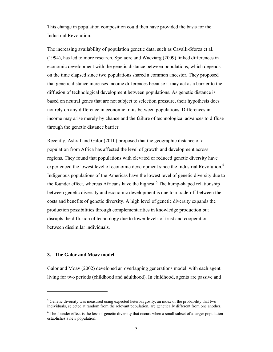This change in population composition could then have provided the basis for the Industrial Revolution.

The increasing availability of population genetic data, such as Cavalli-Sforza et al. (1994), has led to more research. Spolaore and Wacziarg (2009) linked differences in economic development with the genetic distance between populations, which depends on the time elapsed since two populations shared a common ancestor. They proposed that genetic distance increases income differences because it may act as a barrier to the diffusion of technological development between populations. As genetic distance is based on neutral genes that are not subject to selection pressure, their hypothesis does not rely on any difference in economic traits between populations. Differences in income may arise merely by chance and the failure of technological advances to diffuse through the genetic distance barrier.

Recently, Ashraf and Galor (2010) proposed that the geographic distance of a population from Africa has affected the level of growth and development across regions. They found that populations with elevated or reduced genetic diversity have experienced the lowest level of economic development since the Industrial Revolution.<sup>5</sup> Indigenous populations of the Americas have the lowest level of genetic diversity due to the founder effect, whereas Africans have the highest.<sup>6</sup> The hump-shaped relationship between genetic diversity and economic development is due to a trade-off between the costs and benefits of genetic diversity. A high level of genetic diversity expands the production possibilities through complementarities in knowledge production but disrupts the diffusion of technology due to lower levels of trust and cooperation between dissimilar individuals.

#### **3. The Galor and Moav model**

 $\overline{a}$ 

Galor and Moav (2002) developed an overlapping generations model, with each agent living for two periods (childhood and adulthood). In childhood, agents are passive and

 $<sup>5</sup>$  Genetic diversity was measured using expected heterozygosity, an index of the probability that two</sup> individuals, selected at random from the relevant population, are genetically different from one another.

<sup>&</sup>lt;sup>6</sup> The founder effect is the loss of genetic diversity that occurs when a small subset of a larger population establishes a new population.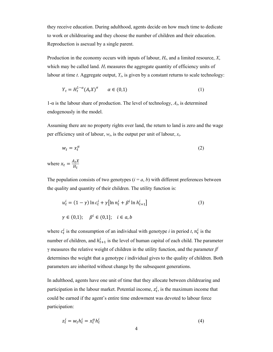they receive education. During adulthood, agents decide on how much time to dedicate to work or childrearing and they choose the number of children and their education. Reproduction is asexual by a single parent.

Production in the economy occurs with inputs of labour,  $H_t$ , and a limited resource,  $X$ , which may be called land.  $H_t$  measures the aggregate quantity of efficiency units of labour at time  $t$ . Aggregate output,  $Y_t$ , is given by a constant returns to scale technology:

$$
Y_t = H_t^{1-\alpha} (A_t X)^{\alpha} \qquad \alpha \in (0,1)
$$
 (1)

 $1-\alpha$  is the labour share of production. The level of technology,  $A_t$ , is determined endogenously in the model.

Assuming there are no property rights over land, the return to land is zero and the wage per efficiency unit of labour,  $w_t$ , is the output per unit of labour,  $x_t$ .

$$
w_t = x_t^{\alpha} \tag{2}
$$

where  $x_t = \frac{A_t X}{H_t}$ 

The population consists of two genotypes  $(i = a, b)$  with different preferences between the quality and quantity of their children. The utility function is:

$$
u_t^i = (1 - \gamma) \ln c_t^i + \gamma [\ln n_t^i + \beta^i \ln h_{t+1}^i]
$$
  
\n
$$
\gamma \in (0,1); \quad \beta^i \in (0,1]; \quad i \in a, b
$$
 (3)

where  $c_t^i$  is the consumption of an individual with genotype *i* in period *t*,  $n_t^i$  is the number of children, and  $h_{t+1}^i$  is the level of human capital of each child. The parameter  $\gamma$  measures the relative weight of children in the utility function, and the parameter  $\beta^i$ determines the weight that a genotype *i* individual gives to the quality of children. Both parameters are inherited without change by the subsequent generations.

In adulthood, agents have one unit of time that they allocate between childrearing and participation in the labour market. Potential income,  $z_t^i$ , is the maximum income that could be earned if the agent's entire time endowment was devoted to labour force participation:

$$
z_t^i = w_t h_t^i = x_t^\alpha h_t^i \tag{4}
$$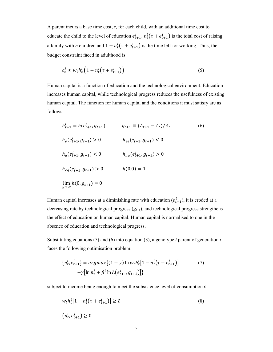A parent incurs a base time cost,  $\tau$ , for each child, with an additional time cost to educate the child to the level of education  $e_{t+1}^i$ .  $n_t^i(\tau + e_{t+1}^i)$  is the total cost of raising a family with *n* children and  $1 - n_t^i(\tau + e_{t+1}^i)$  is the time left for working. Thus, the budget constraint faced in adulthood is:

$$
c_t^i \le w_t h_t^i \left( 1 - n_t^i \left( \tau + e_{t+1}^i \right) \right) \tag{5}
$$

Human capital is a function of education and the technological environment. Education increases human capital, while technological progress reduces the usefulness of existing human capital. The function for human capital and the conditions it must satisfy are as follows:

$$
h_{t+1}^{i} = h(e_{t+1}^{i}, g_{t+1}) \qquad g_{t+1} \equiv (A_{t+1} - A_{t})/A_{t}
$$
\n
$$
h_{e}(e_{t+1}^{i}, g_{t+1}) > 0 \qquad h_{ee}(e_{t+1}^{i}, g_{t+1}) < 0
$$
\n
$$
h_{g}(e_{t+1}^{i}, g_{t+1}) < 0 \qquad h_{gg}(e_{t+1}^{i}, g_{t+1}) > 0
$$
\n
$$
h_{eg}(e_{t+1}^{i}, g_{t+1}) > 0 \qquad h(0,0) = 1
$$
\n
$$
\lim_{g \to \infty} h(0, g_{t+1}) = 0
$$
\n(6)

Human capital increases at a diminishing rate with education  $(e_{t+1}^i)$ , it is eroded at a decreasing rate by technological progress  $(g_{t+1})$ , and technological progress strengthens the effect of education on human capital. Human capital is normalised to one in the absence of education and technological progress.

Substituting equations (5) and (6) into equation (3), a genotype *i* parent of generation *t* faces the following optimisation problem:

$$
\{n_t^i, e_{t+1}^i\} = \operatorname{argmax}\{(1 - \gamma) \ln w_t h_t^i [1 - n_t^i (\tau + e_{t+1}^i)]
$$
  
+  $\gamma [\ln n_t^i + \beta^i \ln h(e_{t+1}^i, g_{t+1})]\}$  (7)

subject to income being enough to meet the subsistence level of consumption  $\tilde{c}$ .

$$
w_t h_t^i [1 - n_t^i (\tau + e_{t+1}^i)] \ge \tilde{c}
$$
  

$$
(n_t^i, e_{t+1}^i) \ge 0
$$
 (8)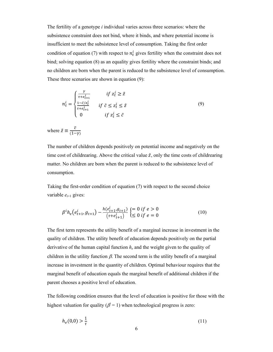The fertility of a genotype *i* individual varies across three scenarios: where the subsistence constraint does not bind, where it binds, and where potential income is insufficient to meet the subsistence level of consumption. Taking the first order condition of equation (7) with respect to  $n_t^i$  gives fertility when the constraint does not bind; solving equation (8) as an equality gives fertility where the constraint binds; and no children are born when the parent is reduced to the subsistence level of consumption. These three scenarios are shown in equation (9):

$$
n_t^i = \begin{cases} \frac{\gamma}{\tau + e_{t+1}^i} & \text{if } z_t^i \ge \tilde{z} \\ \frac{1 - \tilde{c}/z_t^i}{\tau + e_{t+1}^i} & \text{if } \tilde{c} \le z_t^i \le \tilde{z} \\ 0 & \text{if } z_t^i \le \tilde{c} \end{cases} \tag{9}
$$
\n
$$
\text{where } \tilde{z} \equiv \frac{\tilde{c}}{(1 - \gamma)}
$$

The number of children depends positively on potential income and negatively on the time cost of childrearing. Above the critical value  $\tilde{z}$ , only the time costs of childrearing matter. No children are born when the parent is reduced to the subsistence level of consumption.

Taking the first-order condition of equation (7) with respect to the second choice variable  $e_{t+1}$  gives:

$$
\beta^{i}h_{e}(e_{t+1}^{i}, g_{t+1}) - \frac{h(e_{t+1}^{i}, g_{t+1})}{(t+e_{t+1}^{i})} \begin{cases} = 0 \text{ if } e > 0\\ \leq 0 \text{ if } e = 0 \end{cases}
$$
(10)

The first term represents the utility benefit of a marginal increase in investment in the quality of children. The utility benefit of education depends positively on the partial derivative of the human capital function *he* and the weight given to the quality of children in the utility function  $\beta$ . The second term is the utility benefit of a marginal increase in investment in the quantity of children. Optimal behaviour requires that the marginal benefit of education equals the marginal benefit of additional children if the parent chooses a positive level of education.

The following condition ensures that the level of education is positive for those with the highest valuation for quality  $(\beta = 1)$  when technological progress is zero:

$$
h_e(0,0) > \frac{1}{\tau} \tag{11}
$$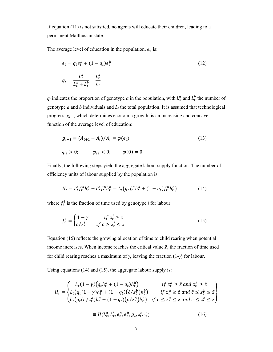If equation (11) is not satisfied, no agents will educate their children, leading to a permanent Malthusian state.

The average level of education in the population, *et*, is:

$$
e_t = q_t e_t^a + (1 - q_t) e_t^b
$$
  
\n
$$
q_t = \frac{L_t^a}{L_t^a + L_t^b} = \frac{L_t^a}{L_t}
$$
\n(12)

 $q_t$  indicates the proportion of genotype *a* in the population, with  $L_t^a$  and  $L_t^b$  the number of genotype  $a$  and  $b$  individuals and  $L<sub>t</sub>$  the total population. It is assumed that technological progress,  $g_{t+1}$ , which determines economic growth, is an increasing and concave function of the average level of education:

$$
g_{t+1} \equiv (A_{t+1} - A_t) / A_t = \varphi(e_t)
$$
  
\n
$$
\varphi_e > 0; \qquad \varphi_{ee} < 0; \qquad \varphi(0) = 0
$$
\n(13)

Finally, the following steps yield the aggregate labour supply function. The number of efficiency units of labour supplied by the population is:

$$
H_t = L_t^a f_t^a h_t^a + L_t^b f_t^b h_t^b = L_t \left( q_t f_t^a h_t^a + (1 - q_t) f_t^b h_t^b \right) \tag{14}
$$

where  $f_t^i$  is the fraction of time used by genotype *i* for labour:

$$
f_t^i = \begin{cases} 1 - \gamma & \text{if } z_t^i \ge \tilde{z} \\ \tilde{c}/z_t^i & \text{if } \tilde{c} \ge z_t^i \le \tilde{z} \end{cases} \tag{15}
$$

Equation (15) reflects the growing allocation of time to child rearing when potential income increases. When income reaches the critical value  $\tilde{z}$ , the fraction of time used for child rearing reaches a maximum of  $\gamma$ , leaving the fraction (1- $\gamma$ ) for labour.

Using equations (14) and (15), the aggregate labour supply is:

$$
H_t = \begin{cases} L_t(1-\gamma)(q_t h_t^a + (1-q_t)h_t^b) & \text{if } z_t^a \ge \tilde{z} \text{ and } z_t^b \ge \tilde{z} \\ L_t(q_t(1-\gamma)h_t^a + (1-q_t)(\tilde{c}/z_t^b)h_t^b) & \text{if } z_t^a \ge \tilde{z} \text{ and } \tilde{c} \le z_t^b \le \tilde{z} \\ L_t(q_t(\tilde{c}/z_t^a)h_t^a + (1-q_t)(\tilde{c}/z_t^b)h_t^b) & \text{if } \tilde{c} \le z_t^a \le \tilde{z} \text{ and } \tilde{c} \le z_t^b \le \tilde{z} \end{cases}
$$
  
\n
$$
\equiv H(L_t^a, L_t^b, e_t^a, e_t^b, g_t, z_t^a, z_t^b)
$$
 (16)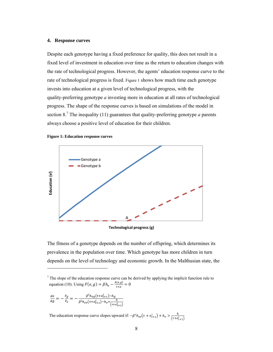# 4. Response curves

Despite each genotype having a fixed preference for quality, this does not result in a fixed level of investment in education over time as the return to education changes with the rate of technological progress. However, the agents' education response curve to the rate of technological progress is fixed. Figure 1 shows how much time each genotype invests into education at a given level of technological progress, with the quality-preferring genotype *a* investing more in education at all rates of technological progress. The shape of the response curves is based on simulations of the model in section 8.<sup>7</sup> The inequality (11) guarantees that quality-preferring genotype *a* parents always choose a positive level of education for their children.





Technological progress (g)

The fitness of a genotype depends on the number of offspring, which determines its prevalence in the population over time. Which genotype has more children in turn depends on the level of technology and economic growth. In the Malthusian state, the

$$
\frac{de}{dg} = -\frac{F_g}{F_e} = -\frac{\beta^i h_{eg}(\tau + e_{t+1}^i) - h_g}{\beta^i h_{ee}(\tau + e_{t+1}^i) - h_e + \frac{h}{(\tau + e_{t+1}^i)}}
$$

The education response curve slopes upward if:  $-\beta^i h_{ee}(\tau + e_{t+1}^i) + h_e > \frac{h}{(\tau + e_{t+1}^i)}$ 

 $\frac{7}{7}$  The slope of the education response curve can be derived by applying the implicit function rule to equation (10). Using  $F(e, g) = \beta h_e - \frac{h(e, g)}{\tau + e} = 0$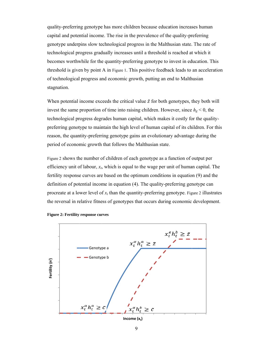quality-preferring genotype has more children because education increases human capital and potential income. The rise in the prevalence of the quality-preferring genotype underpins slow technological progress in the Malthusian state. The rate of technological progress gradually increases until a threshold is reached at which it becomes worthwhile for the quantity-preferring genotype to invest in education. This threshold is given by point A in Figure 1. This positive feedback leads to an acceleration of technological progress and economic growth, putting an end to Malthusian stagnation.

When potential income exceeds the critical value  $\tilde{z}$  for both genotypes, they both will invest the same proportion of time into raising children. However, since  $h_g < 0$ , the technological progress degrades human capital, which makes it costly for the qualitypreferring genotype to maintain the high level of human capital of its children. For this reason, the quantity-preferring genotype gains an evolutionary advantage during the period of economic growth that follows the Malthusian state.

Figure 2 shows the number of children of each genotype as a function of output per efficiency unit of labour,  $x_t$ , which is equal to the wage per unit of human capital. The fertility response curves are based on the optimum conditions in equation (9) and the definition of potential income in equation (4). The quality-preferring genotype can procreate at a lower level of  $x_t$  than the quantity-preferring genotype. Figure 2 illustrates the reversal in relative fitness of genotypes that occurs during economic development.



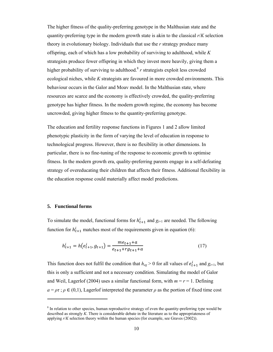The higher fitness of the quality-preferring genotype in the Malthusian state and the quantity-preferring type in the modern growth state is akin to the classical *r*/*K* selection theory in evolutionary biology. Individuals that use the *r* strategy produce many offspring, each of which has a low probability of surviving to adulthood, while *K* strategists produce fewer offspring in which they invest more heavily, giving them a higher probability of surviving to adulthood.<sup>8</sup> *r* strategists exploit less crowded ecological niches, while *K* strategists are favoured in more crowded environments. This behaviour occurs in the Galor and Moav model. In the Malthusian state, where resources are scarce and the economy is effectively crowded, the quality-preferring genotype has higher fitness. In the modern growth regime, the economy has become uncrowded, giving higher fitness to the quantity-preferring genotype.

The education and fertility response functions in Figures 1 and 2 allow limited phenotypic plasticity in the form of varying the level of education in response to technological progress. However, there is no flexibility in other dimensions. In particular, there is no fine-tuning of the response to economic growth to optimise fitness. In the modern growth era, quality-preferring parents engage in a self-defeating strategy of overeducating their children that affects their fitness. Additional flexibility in the education response could materially affect model predictions.

#### **5. Functional forms**

 $\overline{a}$ 

To simulate the model, functional forms for  $h_{t+1}^i$  and  $g_{t+1}$  are needed. The following function for  $h_{t+1}^i$  matches most of the requirements given in equation (6):

$$
h_{t+1}^i = h(e_{t+1}^i, g_{t+1}) = \frac{me_{t+1} + a}{e_{t+1} + rg_{t+1} + a}
$$
\n(17)

This function does not fulfil the condition that  $h_{eg} > 0$  for all values of  $e_{t+1}^i$  and  $g_{t+1}$ , but this is only a sufficient and not a necessary condition. Simulating the model of Galor and Weil, Lagerlof (2004) uses a similar functional form, with  $m = r = 1$ . Defining  $a = \rho \tau$ ;  $\rho \in (0,1)$ , Lagerlof interpreted the parameter  $\rho$  as the portion of fixed time cost

 $8 \text{ In relation to other species, human reproductive strategy of even the quantity-preferring type would be}$ described as strongly *K*. There is considerable debate in the literature as to the appropriateness of applying  $r/K$  selection theory within the human species (for example, see Graves  $(2002)$ ).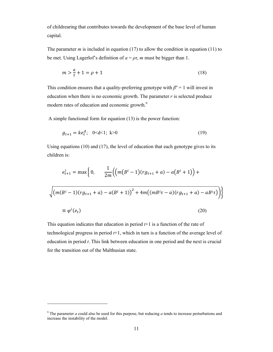of childrearing that contributes towards the development of the base level of human capital.

The parameter *m* is included in equation (17) to allow the condition in equation (11) to be met. Using Lagerlof's definition of  $a = \rho \tau$ , *m* must be bigger than 1.

$$
m > \frac{a}{\tau} + 1 = \rho + 1\tag{18}
$$

This condition ensures that a quality-preferring genotype with  $\beta^a = 1$  will invest in education when there is no economic growth. The parameter  $r$  is selected produce modern rates of education and economic growth.<sup>9</sup>

A simple functional form for equation (13) is the power function:

$$
g_{t+1} = ke_t^d; \quad 0 < d < 1; \ k > 0 \tag{19}
$$

Using equations (10) and (17), the level of education that each genotype gives to its children is:

$$
e_{t+1}^{i} = \max\left\{0, \frac{1}{2m} \Big( \Big( m\big(B^{i} - 1\big)(r g_{t+1} + a) - a\big(B^{i} + 1\big) \Big) + \sqrt{\Big( m\big(B^{i} - 1\big)(r g_{t+1} + a) - a\big(B^{i} + 1\big)\Big)^{2} + 4m\Big( (m B^{i} \tau - a)(r g_{t+1} + a) - a B^{i} \tau \Big) \Big) }\right\}
$$
  

$$
\equiv \varphi^{i}(e_{t})
$$
 (20)

This equation indicates that education in period *t*+1 is a function of the rate of technological progress in period *t*+1, which in turn is a function of the average level of education in period *t*. This link between education in one period and the next is crucial for the transition out of the Malthusian state.

 $\overline{a}$ 

<sup>&</sup>lt;sup>9</sup> The parameter *a* could also be used for this purpose, but reducing *a* tends to increase perturbations and increase the instability of the model.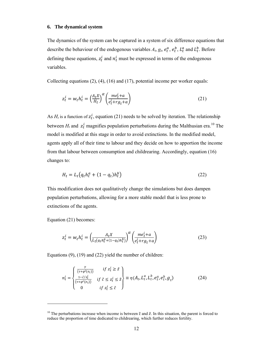# **6. The dynamical system**

The dynamics of the system can be captured in a system of six difference equations that describe the behaviour of the endogenous variables  $A_t$ ,  $g_t$ ,  $e_t^a$ ,  $e_t^b$ ,  $L_t^a$  and  $L_t^b$ . Before defining these equations,  $z_t^i$  and  $n_t^i$  must be expressed in terms of the endogenous variables.

Collecting equations (2), (4), (16) and (17), potential income per worker equals:

$$
z_t^i = w_t h_t^i = \left(\frac{A_t X}{H_t}\right)^\alpha \left(\frac{m e_t^i + a}{e_t^i + r g_t + a}\right) \tag{21}
$$

As  $H_t$  is a function of  $z_t^i$ , equation (21) needs to be solved by iteration. The relationship between  $H_t$  and  $z_t^i$  magnifies population perturbations during the Malthusian era.<sup>10</sup> The model is modified at this stage in order to avoid extinctions. In the modified model, agents apply all of their time to labour and they decide on how to apportion the income from that labour between consumption and childrearing. Accordingly, equation (16) changes to:

$$
H_t = L_t \left( q_t h_t^a + (1 - q_t) h_t^b \right) \tag{22}
$$

This modification does not qualitatively change the simulations but does dampen population perturbations, allowing for a more stable model that is less prone to extinctions of the agents.

Equation (21) becomes:

 $\overline{a}$ 

$$
z_t^i = w_t h_t^i = \left(\frac{A_t X}{L_t (q_t h_t^a + (1 - q_t) h_t^b)}\right)^\alpha \left(\frac{m e_t^i + a}{e_t^i + r g_t + a}\right) \tag{23}
$$

Equations (9), (19) and (22) yield the number of children:

$$
n_t^i = \begin{cases} \frac{\gamma}{(\tau + \varphi^i(e_t))} & \text{if } z_t^i \ge \tilde{z} \\ \frac{1 - \tilde{c}/z_t^i}{(\tau + \varphi^i(e_t))} & \text{if } \tilde{c} \le z_t^i \le \tilde{z} \\ 0 & \text{if } z_t^i \le \tilde{c} \end{cases} \equiv \eta(A_t, L_t^a, L_t^b, e_t^a, e_t^b, g_t) \tag{24}
$$

<sup>&</sup>lt;sup>10</sup> The perturbations increase when income is between  $\tilde{c}$  and  $\tilde{z}$ . In this situation, the parent is forced to reduce the proportion of time dedicated to childrearing, which further reduces fertility.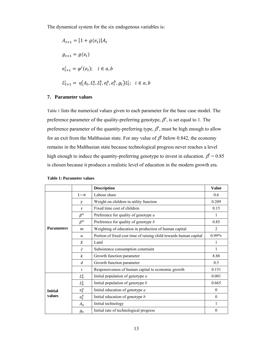The dynamical system for the six endogenous variables is:

$$
A_{t+1} = [1 + g(e_t)]A_t
$$
  
\n
$$
g_{t+1} = g(e_t)
$$
  
\n
$$
e_{t+1}^i = \varphi^i(e_t); \quad i \in a, b
$$
  
\n
$$
L_{t+1}^i = \eta(A_t, L_t^a, L_t^b, e_t^a, e_t^b, g_t)L_t^i; \quad i \in a, b
$$

# **7. Parameter values**

Table 1 lists the numerical values given to each parameter for the base case model. The preference parameter of the quality-preferring genotype,  $\beta^a$ , is set equal to 1. The preference parameter of the quantity-preferring type,  $\beta^b$ , must be high enough to allow for an exit from the Malthusian state. For any value of  $\beta^b$  below 0.842, the economy remains in the Malthusian state because technological progress never reaches a level high enough to induce the quantity-preferring genotype to invest in education.  $\beta^b = 0.85$ is chosen because it produces a realistic level of education in the modern growth era.

|                          |                  | <b>Description</b>                                                | <b>Value</b>  |
|--------------------------|------------------|-------------------------------------------------------------------|---------------|
|                          | $1-\alpha$       | Labour share                                                      | 0.6           |
|                          | γ                | Weight on children in utility function                            | 0.209         |
|                          | τ                | Fixed time cost of children                                       | 0.15          |
|                          | $\beta^a$        | Preference for quality of genotype $a$                            | 1             |
| <b>Parameters</b>        | $\beta^b$        | Preference for quality of genotype $b$                            | 0.85          |
|                          | $\boldsymbol{m}$ | Weighting of education in production of human capital             | 2             |
|                          | a                | Portion of fixed cost time of raising child towards human capital | $0.99 * \tau$ |
|                          | X                | Land                                                              | 1             |
|                          | ĉ                | Subsistence consumption constraint                                | 1             |
|                          | k.               | Growth function parameter                                         | 8.88          |
|                          | d                | Growth function parameter                                         | 0.5           |
|                          | $\mathbf{r}$     | Responsiveness of human capital to economic growth                | 0.151         |
| <b>Initial</b><br>values | $L_0^a$          | Initial population of genotype $a$                                | 0.001         |
|                          | $L_0^b$          | Initial population of genotype $b$                                | 0.665         |
|                          | $e_0^a$          | Initial education of genotype $a$                                 | $\theta$      |
|                          | $e_0^b$          | Initial education of genotype b                                   | $\theta$      |
|                          | $A_0$            | Initial technology                                                | 1             |
|                          | g <sub>0</sub>   | Initial rate of technological progress                            | $\theta$      |

#### **Table 1: Parameter values**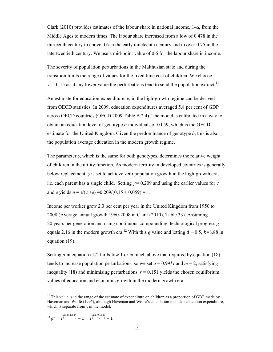Clark (2010) provides estimates of the labour share in national income,  $1-\alpha$ , from the Middle Ages to modern times. The labour share increased from a low of 0.478 in the thirteenth century to above 0.6 in the early nineteenth century and to over 0.75 in the late twentieth century. We use a mid-point value of 0.6 for the labour share in income.

The severity of population perturbations in the Malthusian state and during the transition limits the range of values for the fixed time cost of children. We choose  $\tau$  = 0.15 as at any lower value the perturbations tend to send the population extinct.<sup>11</sup>

An estimate for education expenditure, *e*, in the high-growth regime can be derived from OECD statistics. In 2009, education expenditures averaged 5.8 per cent of GDP across OECD countries (OECD 2009 Table B.2.4). The model is calibrated in a way to obtain an education level of genotype  $b$  individuals of 0.059, which is the OECD estimate for the United Kingdom. Given the predominance of genotype *b*, this is also the population average education in the modern growth regime.

The parameter  $\gamma$ , which is the same for both genotypes, determines the relative weight of children in the utility function. As modern fertility in developed countries is generally below replacement,  $\gamma$  is set to achieve zero population growth in the high-growth era, i.e. each parent has a single child. Setting  $\gamma = 0.209$  and using the earlier values for  $\tau$ and *e* yields  $n = \gamma(\tau + e) = 0.209/(0.15 + 0.059) = 1$ .

Income per worker grew 2.3 per cent per year in the United Kingdom from 1950 to 2008 (Average annual growth 1960-2008 in Clark (2010), Table 33). Assuming 20 years per generation and using continuous compounding, technological progress *g* equals 2.16 in the modern growth era.<sup>12</sup> With this *g* value and letting  $d = 0.5$ ,  $k=8.88$  in equation (19).

Setting *a* in equation (17) far below 1 or *m* much above that required by equation (18) tends to increase population perturbations, so we set  $a = 0.99 * \tau$  and  $m = 2$ , satisfying inequality (18) and minimising perturbations.  $r = 0.151$  yields the chosen equilibrium values of education and economic growth in the modern growth era.

$$
e^{i2} g^* = e^{\left(\frac{0.023*20}{\alpha}\right)} - 1 = e^{\left(\frac{0.023*20}{0.4}\right)} - 1
$$

 $\overline{a}$ 

<sup>&</sup>lt;sup>11</sup> This value is in the range of the estimate of expenditure on children as a proportion of GDP made by Haveman and Wolfe (1995), although Haveman and Wolfe's calculation included education expenditure, which is separate from  $\tau$  in the model.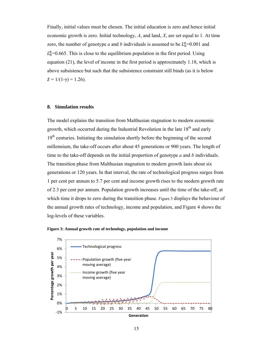Finally, initial values must be chosen. The initial education is zero and hence initial economic growth is zero. Initial technology, *A*, and land, *X*, are set equal to 1. At time zero, the number of genotype *a* and *b* individuals is assumed to be  $L_0^a = 0.001$  and  $L_0^b$ =0.665. This is close to the equilibrium population in the first period. Using equation (21), the level of income in the first period is approximately 1.18, which is above subsistence but such that the subsistence constraint still binds (as it is below  $\tilde{z} = 1/(1-\gamma) = 1.26$ .

#### **8. Simulation results**

The model explains the transition from Malthusian stagnation to modern economic growth, which occurred during the Industrial Revolution in the late  $18<sup>th</sup>$  and early  $19<sup>th</sup>$  centuries. Initiating the simulation shortly before the beginning of the second millennium, the take-off occurs after about 45 generations or 900 years. The length of time to the take-off depends on the initial proportion of genotype *a* and *b* individuals. The transition phase from Malthusian stagnation to modern growth lasts about six generations or 120 years. In that interval, the rate of technological progress surges from 1 per cent per annum to 5.7 per cent and income growth rises to the modern growth rate of 2.3 per cent per annum. Population growth increases until the time of the take-off, at which time it drops to zero during the transition phase. Figure 3 displays the behaviour of the annual growth rates of technology, income and population, and Figure 4 shows the log-levels of these variables.



**Figure 3: Annual growth rate of technology, population and income**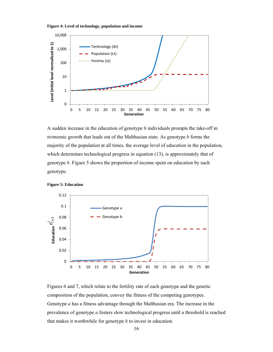



A sudden increase in the education of genotype  $b$  individuals prompts the take-off in economic growth that leads out of the Malthusian state. As genotype *b* forms the majority of the population at all times, the average level of education in the population, which determines technological progress in equation (13), is approximately that of genotype *b*. Figure 5 shows the proportion of income spent on education by each genotype.





Figures 6 and 7, which relate to the fertility rate of each genotype and the genetic composition of the population, convey the fitness of the competing genotypes. Genotype *a* has a fitness advantage through the Malthusian era. The increase in the prevalence of genotype *a* fosters slow technological progress until a threshold is reached that makes it worthwhile for genotype  $b$  to invest in education.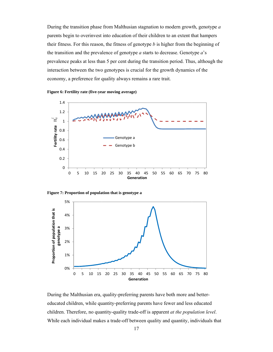During the transition phase from Malthusian stagnation to modern growth, genotype a parents begin to overinvest into education of their children to an extent that hampers their fitness. For this reason, the fitness of genotype  $b$  is higher from the beginning of the transition and the prevalence of genotype  $a$  starts to decrease. Genotype  $a$ 's prevalence peaks at less than 5 per cent during the transition period. Thus, although the interaction between the two genotypes is crucial for the growth dynamics of the economy, a preference for quality always remains a rare trait.









During the Malthusian era, quality-preferring parents have both more and bettereducated children, while quantity-preferring parents have fewer and less educated children. Therefore, no quantity-quality trade-off is apparent *at the population level*. While each individual makes a trade-off between quality and quantity, individuals that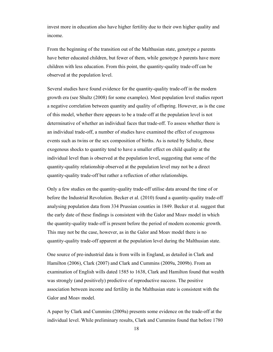invest more in education also have higher fertility due to their own higher quality and income.

From the beginning of the transition out of the Malthusian state, genotype *a* parents have better educated children, but fewer of them, while genotype *b* parents have more children with less education. From this point, the quantity-quality trade-off can be observed at the population level.

Several studies have found evidence for the quantity-quality trade-off in the modern growth era (see Shultz (2008) for some examples). Most population level studies report a negative correlation between quantity and quality of offspring. However, as is the case of this model, whether there appears to be a trade-off at the population level is not determinative of whether an individual faces that trade-off. To assess whether there is an individual trade-off, a number of studies have examined the effect of exogenous events such as twins or the sex composition of births. As is noted by Schultz, these exogenous shocks to quantity tend to have a smaller effect on child quality at the individual level than is observed at the population level, suggesting that some of the quantity-quality relationship observed at the population level may not be a direct quantity-quality trade-off but rather a reflection of other relationships.

Only a few studies on the quantity-quality trade-off utilise data around the time of or before the Industrial Revolution. Becker et al. (2010) found a quantity-quality trade-off analysing population data from 334 Prussian counties in 1849. Becker et al. suggest that the early date of these findings is consistent with the Galor and Moav model in which the quantity-quality trade-off is present before the period of modern economic growth. This may not be the case, however, as in the Galor and Moav model there is no quantity-quality trade-off apparent at the population level during the Malthusian state.

One source of pre-industrial data is from wills in England, as detailed in Clark and Hamilton (2006), Clark (2007) and Clark and Cummins (2009a, 2009b). From an examination of English wills dated 1585 to 1638, Clark and Hamilton found that wealth was strongly (and positively) predictive of reproductive success. The positive association between income and fertility in the Malthusian state is consistent with the Galor and Moav model.

A paper by Clark and Cummins (2009a) presents some evidence on the trade-off at the individual level. While preliminary results, Clark and Cummins found that before 1780

18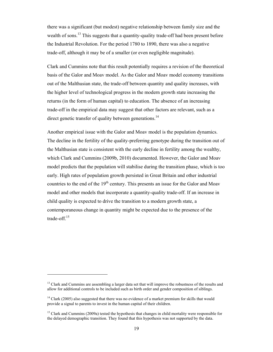there was a significant (but modest) negative relationship between family size and the wealth of sons.<sup>13</sup> This suggests that a quantity-quality trade-off had been present before the Industrial Revolution. For the period 1780 to 1890, there was also a negative trade-off, although it may be of a smaller (or even negligible magnitude).

Clark and Cummins note that this result potentially requires a revision of the theoretical basis of the Galor and Moav model. As the Galor and Moav model economy transitions out of the Malthusian state, the trade-off between quantity and quality increases, with the higher level of technological progress in the modern growth state increasing the returns (in the form of human capital) to education. The absence of an increasing trade-off in the empirical data may suggest that other factors are relevant, such as a direct genetic transfer of quality between generations.<sup>14</sup>

Another empirical issue with the Galor and Moav model is the population dynamics. The decline in the fertility of the quality-preferring genotype during the transition out of the Malthusian state is consistent with the early decline in fertility among the wealthy, which Clark and Cummins (2009b, 2010) documented. However, the Galor and Moav model predicts that the population will stabilise during the transition phase, which is too early. High rates of population growth persisted in Great Britain and other industrial countries to the end of the  $19<sup>th</sup>$  century. This presents an issue for the Galor and Moav model and other models that incorporate a quantity-quality trade-off. If an increase in child quality is expected to drive the transition to a modern growth state, a contemporaneous change in quantity might be expected due to the presence of the trade-off.15

 $\overline{a}$ 

<sup>&</sup>lt;sup>13</sup> Clark and Cummins are assembling a larger data set that will improve the robustness of the results and allow for additional controls to be included such as birth order and gender composition of siblings.

<sup>&</sup>lt;sup>14</sup> Clark (2005) also suggested that there was no evidence of a market premium for skills that would provide a signal to parents to invest in the human capital of their children.

<sup>&</sup>lt;sup>15</sup> Clark and Cummins (2009a) tested the hypothesis that changes in child mortality were responsible for the delayed demographic transition. They found that this hypothesis was not supported by the data.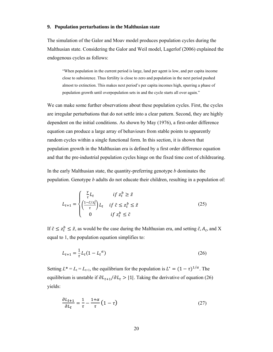# 9. Population perturbations in the Malthusian state

The simulation of the Galor and Moay model produces population cycles during the Malthusian state. Considering the Galor and Weil model, Lagerlof (2006) explained the endogenous cycles as follows:

"When population in the current period is large, land per agent is low, and per capita income close to subsistence. Thus fertility is close to zero and population in the next period pushed almost to extinction. This makes next period's per capita incomes high, spurring a phase of population growth until overpopulation sets in and the cycle starts all over again."

We can make some further observations about these population cycles. First, the cycles are irregular perturbations that do not settle into a clear pattern. Second, they are highly dependent on the initial conditions. As shown by May (1976), a first-order difference equation can produce a large array of behaviours from stable points to apparently random cycles within a single functional form. In this section, it is shown that population growth in the Malthusian era is defined by a first order difference equation and that the pre-industrial population cycles hinge on the fixed time cost of childrearing.

In the early Malthusian state, the quantity-preferring genotype  $b$  dominates the population. Genotype b adults do not educate their children, resulting in a population of:

$$
L_{t+1} = \begin{cases} \frac{\gamma}{\tau} L_t & \text{if } z_t^b \ge \tilde{z} \\ \left(\frac{1 - \tilde{c}/z_t^i}{\tau}\right) L_t & \text{if } \tilde{c} \le z_t^b \le \tilde{z} \\ 0 & \text{if } z_t^b \le \tilde{c} \end{cases} \tag{25}
$$

If  $\tilde{c} \leq z_t^b \leq \tilde{z}$ , as would be the case during the Malthusian era, and setting  $\tilde{c}$ ,  $A_t$ , and X equal to 1, the population equation simplifies to:

$$
L_{t+1} = \frac{1}{\tau} L_t (1 - L_t^{\alpha})
$$
\n(26)

Setting  $L^* = L_t = L_{t+1}$ , the equilibrium for the population is  $L^* = (1 - \tau)^{1/\alpha}$ . The equilibrium is unstable if  $\partial L_{t+1}/\partial L_t > |1|$ . Taking the derivative of equation (26) yields:

$$
\frac{\partial L_{t+1}}{\partial L_t} = \frac{1}{\tau} - \frac{1+\alpha}{\tau} \left( 1 - \tau \right) \tag{27}
$$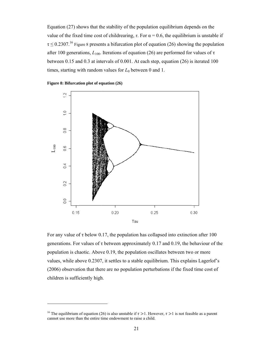Equation  $(27)$  shows that the stability of the population equilibrium depends on the value of the fixed time cost of childrearing,  $\tau$ . For  $\alpha = 0.6$ , the equilibrium is unstable if  $\tau \leq 0.2307$ .<sup>16</sup> Figure 8 presents a bifurcation plot of equation (26) showing the population after 100 generations,  $L_{100}$ . Iterations of equation (26) are performed for values of  $\tau$ between 0.15 and 0.3 at intervals of 0.001. At each step, equation (26) is iterated 100 times, starting with random values for  $L_0$  between 0 and 1.





For any value of  $\tau$  below 0.17, the population has collapsed into extinction after 100 generations. For values of  $\tau$  between approximately 0.17 and 0.19, the behaviour of the population is chaotic. Above 0.19, the population oscillates between two or more values, while above 0.2307, it settles to a stable equilibrium. This explains Lagerlof's (2006) observation that there are no population perturbations if the fixed time cost of children is sufficiently high.

<sup>&</sup>lt;sup>16</sup> The equilibrium of equation (26) is also unstable if  $\tau > 1$ . However,  $\tau > 1$  is not feasible as a parent cannot use more than the entire time endowment to raise a child.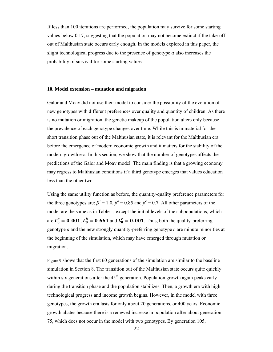If less than 100 iterations are performed, the population may survive for some starting values below 0.17, suggesting that the population may not become extinct if the take-off out of Malthusian state occurs early enough. In the models explored in this paper, the slight technological progress due to the presence of genotype  $a$  also increases the probability of survival for some starting values.

#### **10. Model extension – mutation and migration**

Galor and Moav did not use their model to consider the possibility of the evolution of new genotypes with different preferences over quality and quantity of children. As there is no mutation or migration, the genetic makeup of the population alters only because the prevalence of each genotype changes over time. While this is immaterial for the short transition phase out of the Malthusian state, it is relevant for the Malthusian era before the emergence of modern economic growth and it matters for the stability of the modern growth era. In this section, we show that the number of genotypes affects the predictions of the Galor and Moav model. The main finding is that a growing economy may regress to Malthusian conditions if a third genotype emerges that values education less than the other two.

Using the same utility function as before, the quantity-quality preference parameters for the three genotypes are:  $\beta^a = 1.0$ ,  $\beta^b = 0.85$  and  $\beta^c = 0.7$ . All other parameters of the model are the same as in Table 1, except the initial levels of the subpopulations, which are  $L_0^a = 0.001$ ,  $L_0^b = 0.664$  and  $L_0^c = 0.001$ . Thus, both the quality-preferring genotype *a* and the new strongly quantity-preferring genotype *c* are minute minorities at the beginning of the simulation, which may have emerged through mutation or migration.

Figure 9 shows that the first 60 generations of the simulation are similar to the baseline simulation in Section 8. The transition out of the Malthusian state occurs quite quickly within six generations after the  $45<sup>th</sup>$  generation. Population growth again peaks early during the transition phase and the population stabilizes. Then, a growth era with high technological progress and income growth begins. However, in the model with three genotypes, the growth era lasts for only about 20 generations, or 400 years. Economic growth abates because there is a renewed increase in population after about generation 75, which does not occur in the model with two genotypes. By generation 105,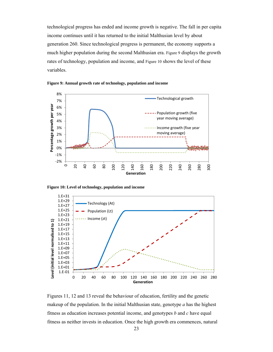technological progress has ended and income growth is negative. The fall in per capita income continues until it has returned to the initial Malthusian level by about generation 260. Since technological progress is permanent, the economy supports a much higher population during the second Malthusian era. Figure 9 displays the growth rates of technology, population and income, and Figure 10 shows the level of these variables.





**Figure 10: Level of technology, population and income** 



Figures 11, 12 and 13 reveal the behaviour of education, fertility and the genetic makeup of the population. In the initial Malthusian state, genotype *a* has the highest fitness as education increases potential income, and genotypes *b* and *c* have equal fitness as neither invests in education. Once the high growth era commences, natural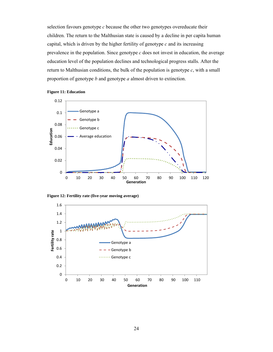selection favours genotype *c* because the other two genotypes overeducate their children. The return to the Malthusian state is caused by a decline in per capita human capital, which is driven by the higher fertility of genotype *c* and its increasing prevalence in the population. Since genotype *c* does not invest in education, the average education level of the population declines and technological progress stalls. After the return to Malthusian conditions, the bulk of the population is genotype *c*, with a small proportion of genotype *b* and genotype *a* almost driven to extinction.



#### **Figure 11: Education**



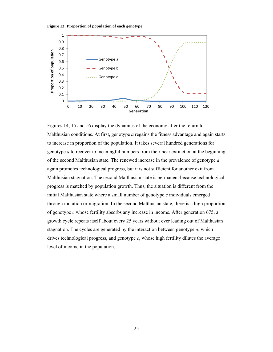



Figures 14, 15 and 16 display the dynamics of the economy after the return to Malthusian conditions. At first, genotype *a* regains the fitness advantage and again starts to increase in proportion of the population. It takes several hundred generations for genotype *a* to recover to meaningful numbers from their near extinction at the beginning of the second Malthusian state. The renewed increase in the prevalence of genotype *a* again promotes technological progress, but it is not sufficient for another exit from Malthusian stagnation. The second Malthusian state is permanent because technological progress is matched by population growth. Thus, the situation is different from the initial Malthusian state where a small number of genotype *c* individuals emerged through mutation or migration. In the second Malthusian state, there is a high proportion of genotype *c* whose fertility absorbs any increase in income. After generation 675, a growth cycle repeats itself about every 25 years without ever leading out of Malthusian stagnation. The cycles are generated by the interaction between genotype *a*, which drives technological progress, and genotype *c*, whose high fertility dilutes the average level of income in the population.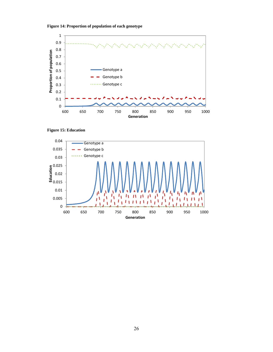



**Figure 15: Education** 

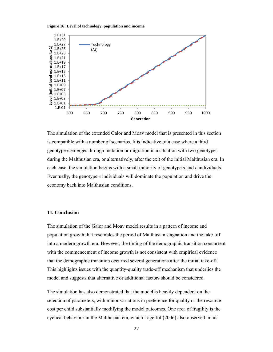**Figure 16: Level of technology, population and income** 



The simulation of the extended Galor and Moav model that is presented in this section is compatible with a number of scenarios. It is indicative of a case where a third genotype *c* emerges through mutation or migration in a situation with two genotypes during the Malthusian era, or alternatively, after the exit of the initial Malthusian era. In each case, the simulation begins with a small minority of genotype *a* and *c* individuals. Eventually, the genotype *c* individuals will dominate the population and drive the economy back into Malthusian conditions.

# **11. Conclusion**

The simulation of the Galor and Moav model results in a pattern of income and population growth that resembles the period of Malthusian stagnation and the take-off into a modern growth era. However, the timing of the demographic transition concurrent with the commencement of income growth is not consistent with empirical evidence that the demographic transition occurred several generations after the initial take-off. This highlights issues with the quantity-quality trade-off mechanism that underlies the model and suggests that alternative or additional factors should be considered.

The simulation has also demonstrated that the model is heavily dependent on the selection of parameters, with minor variations in preference for quality or the resource cost per child substantially modifying the model outcomes. One area of fragility is the cyclical behaviour in the Malthusian era, which Lagerlof (2006) also observed in his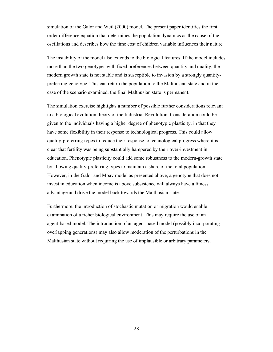simulation of the Galor and Weil (2000) model. The present paper identifies the first order difference equation that determines the population dynamics as the cause of the oscillations and describes how the time cost of children variable influences their nature.

The instability of the model also extends to the biological features. If the model includes more than the two genotypes with fixed preferences between quantity and quality, the modern growth state is not stable and is susceptible to invasion by a strongly quantitypreferring genotype. This can return the population to the Malthusian state and in the case of the scenario examined, the final Malthusian state is permanent.

The simulation exercise highlights a number of possible further considerations relevant to a biological evolution theory of the Industrial Revolution. Consideration could be given to the individuals having a higher degree of phenotypic plasticity, in that they have some flexibility in their response to technological progress. This could allow quality-preferring types to reduce their response to technological progress where it is clear that fertility was being substantially hampered by their over-investment in education. Phenotypic plasticity could add some robustness to the modern-growth state by allowing quality-preferring types to maintain a share of the total population. However, in the Galor and Moav model as presented above, a genotype that does not invest in education when income is above subsistence will always have a fitness advantage and drive the model back towards the Malthusian state.

Furthermore, the introduction of stochastic mutation or migration would enable examination of a richer biological environment. This may require the use of an agent-based model. The introduction of an agent-based model (possibly incorporating overlapping generations) may also allow moderation of the perturbations in the Malthusian state without requiring the use of implausible or arbitrary parameters.

28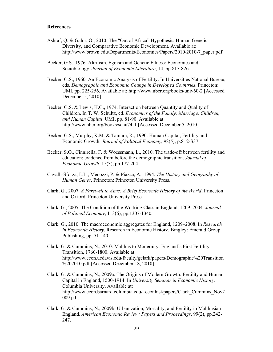# **References**

- Ashraf, Q. & Galor, O., 2010. The "Out of Africa" Hypothesis, Human Genetic Diversity, and Comparative Economic Development. Available at: http://www.brown.edu/Departments/Economics/Papers/2010/2010-7\_paper.pdf.
- Becker, G.S., 1976. Altruism, Egoism and Genetic Fitness: Economics and Sociobiology. *Journal of Economic Literature*, 14, pp.817-826.
- Becker, G.S., 1960. An Economic Analysis of Fertility. In Universities National Bureau, eds. *Demographic and Economic Change in Developed Countries*. Princeton: UMI, pp. 225-256. Available at: http://www.nber.org/books/univ60-2 [Accessed December 5, 2010].
- Becker, G.S. & Lewis, H.G., 1974. Interaction between Quantity and Quality of Children. In T. W. Schultz, ed. *Economics of the Family: Marriage, Children, and Human Capital*. UMI, pp. 81-90. Available at: http://www.nber.org/books/schu74-1 [Accessed December 5, 2010].
- Becker, G.S., Murphy, K.M. & Tamura, R., 1990. Human Capital, Fertility and Economic Growth. *Journal of Political Economy*, 98(5), p.S12-S37.
- Becker, S.O., Cinnirella, F. & Woessmann, L., 2010. The trade-off between fertility and education: evidence from before the demographic transition. *Journal of Economic Growth*, 15(3), pp.177-204.
- Cavalli-Sforza, L.L., Menozzi, P. & Piazza, A., 1994. *The History and Geography of Human Genes*, Princeton: Princeton University Press.
- Clark, G., 2007. *A Farewell to Alms: A Brief Economic History of the World*, Princeton and Oxford: Princeton University Press.
- Clark, G., 2005. The Condition of the Working Class in England, 1209–2004. *Journal of Political Economy*, 113(6), pp.1307-1340.
- Clark, G., 2010. The macroeconomic aggregates for England, 1209–2008. In *Research in Economic History*. Research in Economic History. Bingley: Emerald Group Publishing, pp. 51-140.
- Clark, G. & Cummins, N., 2010. Malthus to Modernity: England's First Fertility Transition, 1760-1800. Available at: http://www.econ.ucdavis.edu/faculty/gclark/papers/Demographic%20Transition %202010.pdf [Accessed December 18, 2010].
- Clark, G. & Cummins, N., 2009a. The Origins of Modern Growth: Fertility and Human Capital in England, 1500-1914. In *University Seminar in Economic History*. Columbia University. Available at: http://www.econ.barnard.columbia.edu/~econhist/papers/Clark\_Cummins\_Nov2 009.pdf.
- Clark, G. & Cummins, N., 2009b. Urbanization, Mortality, and Fertility in Malthusian England. *American Economic Review: Papers and Proceedings*, 99(2), pp.242- 247.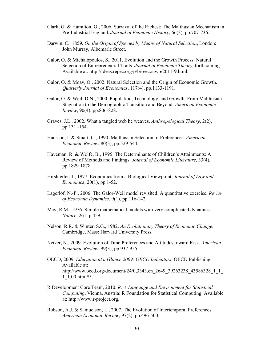- Clark, G. & Hamilton, G., 2006. Survival of the Richest: The Malthusian Mechanism in Pre-Industrial England. *Journal of Economic History*, 66(3), pp.707-736.
- Darwin, C., 1859. *On the Origin of Species by Means of Natural Selection*, London: John Murray, Albemarle Street.
- Galor, O. & Michalopoulos, S., 2011. Evolution and the Growth Process: Natural Selection of Entrepreneurial Traits. *Journal of Economic Theory*, forthcoming. Available at: http://ideas.repec.org/p/bro/econwp/2011-9.html.
- Galor, O. & Moav, O., 2002. Natural Selection and the Origin of Economic Growth. *Quarterly Journal of Economics*, 117(4), pp.1133-1191.
- Galor, O. & Weil, D.N., 2000. Population, Technology, and Growth: From Malthusian Stagnation to the Demographic Transition and Beyond. *American Economic Review*, 90(4), pp.806-828.
- Graves, J.L., 2002. What a tangled web he weaves. *Anthropological Theory*, 2(2), pp.131 -154.
- Hansson, I. & Stuart, C., 1990. Malthusian Selection of Preferences. *American Economic Review*, 80(3), pp.529-544.
- Haveman, R. & Wolfe, B., 1995. The Determinants of Children's Attainments: A Review of Methods and Findings. *Journal of Economic Literature*, 33(4), pp.1829-1878.
- Hirshleifer, J., 1977. Economics from a Biological Viewpoint. *Journal of Law and Economics*, 20(1), pp.1-52.
- Lagerlöf, N.-P., 2006. The Galor-Weil model revisited: A quantitative exercise. *Review of Economic Dynamics*, 9(1), pp.116-142.
- May, R.M., 1976. Simple mathematical models with very complicated dynamics. *Nature*, 261, p.459.
- Nelson, R.R. & Winter, S.G., 1982. *An Evolutionary Theory of Economic Change*, Cambridge, Mass: Harvard University Press.
- Netzer, N., 2009. Evolution of Time Preferences and Attitudes toward Risk. *American Economic Review*, 99(3), pp.937-955.
- OECD, 2009. *Education at a Glance 2009: OECD Indicators*, OECD Publishing. Available at: http://www.oecd.org/document/24/0,3343,en\_2649\_39263238\_43586328\_1\_1 1\_1,00.html#5.
- R Development Core Team, 2010. *R: A Language and Environment for Statistical Computing*, Vienna, Austria: R Foundation for Statistical Computing. Available at: http://www.r-project.org.
- Robson, A.J. & Samuelson, L., 2007. The Evolution of Intertemporal Preferences. *American Economic Review*, 97(2), pp.496-500.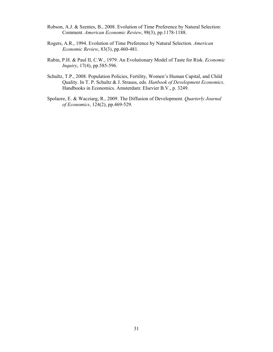- Robson, A.J. & Szentes, B., 2008. Evolution of Time Preference by Natural Selection: Comment. *American Economic Review*, 98(3), pp.1178-1188.
- Rogers, A.R., 1994. Evolution of Time Preference by Natural Selection. *American Economic Review*, 83(3), pp.460-481.
- Rubin, P.H. & Paul II, C.W., 1979. An Evolutionary Model of Taste for Risk. *Economic Inquiry*, 17(4), pp.585-596.
- Schultz, T.P., 2008. Population Policies, Fertility, Women's Human Capital, and Child Quality. In T. P. Schultz & J. Strauss, eds. *Hanbook of Development Economics*. Handbooks in Economics. Amsterdam: Elsevier B.V., p. 3249.
- Spolaore, E. & Wacziarg, R., 2009. The Diffusion of Development. *Quarterly Journal of Economics*, 124(2), pp.469-529.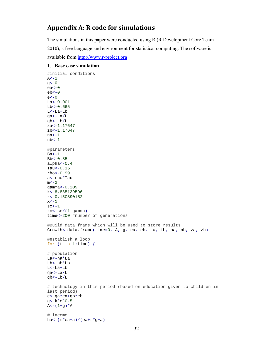# **Appendix A: R code for simulations**

The simulations in this paper were conducted using R (R Development Core Team 2010), a free language and environment for statistical computing. The software is available from http://www.r-project.org

# **1. Base case simulation**

```
#initial conditions
A < -1q < -0ea<-0
eb<-0e<-0La < -0.001Lb < -0.665L<-La+Lb
qa<-La/L
qb<-Lb/L
za<-1.17647
zb<-1.17647
na<-1
nb<-1#parameters
Ba < -1Bb<-0.85alpha<-0.4
Tau<-0.15rho<-0.99
a<-rho*Tau
m < -2gamma<-0.209
k<-8.885139596
r<-0.150890152
x < -1sc - 1zc < -sc/(1-qamma)time<-200 #number of generations
#Build data frame which will be used to store results
Growth<-data.frame(time=0, A, g, ea, eb, La, Lb, na, nb, za, zb) 
#establish a loop
for (t in 1:time) {
# population
La<-na*La
Lb<-nb*Lb
L < -La+Lbqa<-La/L
qb<-Lb/L
# technology in this period (based on education given to children in 
last period)
e<-qa*ea+qb*eb
g<-k*e^0.5
A < - (1+g) * A# income
ha<-(m*ea+a)/(ea+r*g+a)
```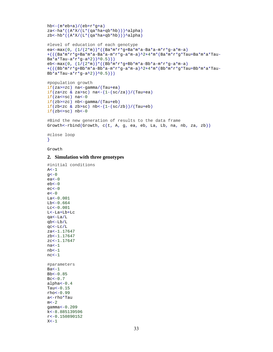```
hb \left(\pi * e b + a\right) / (e b + r * q + a)za<-ha*((A * X / (L * (qa * ha + qb * hb)))Alpha)
zb <-hb*((A*X/(L*(qa*ha+qb*hb)))^alpha)
#level of education of each genotype
ea<-max(0, (1/(2*m))*((Ba*m*r*g+Ba*m*a-Ba*a-m*r*g-a*m-a) 
+((Ba*m*x*g+Ba*m*a-Ba*a-m*x*g-a*m-a)^2+4*m*(Ba*m*x*g*Tau+Ba*m*a*Tau-Ba*a*Tau-a*r*g-a^2))^0.5)))
eb<-max(0, (1/(2*m))*((Bb*m*r*g+Bb*m*a-Bb*a-m*r*g-a*m-a)
+ \,(\,(\,\,(\mathsf{B}\mathsf{b}^*\mathsf{m}^*\mathsf{r}^*\mathsf{g}+\mathsf{B}\mathsf{b}^*\mathsf{m}^*\mathsf{a}-\mathsf{B}\mathsf{b}^*\mathsf{a}-\mathsf{m}^*\mathsf{r}^*\mathsf{g}-\mathsf{a}^*\mathsf{m}-\mathsf{a})\,\wedge\,2+4\,\mbox{*}\mathsf{m}^*(\,\mathsf{B}\mathsf{b}^*\mathsf{m}^*\mathsf{r}^*\mathsf{g}^*\mathsf{T}\mathsf{a}\mathsf{u}+\mathsf{B}\mathsf{b}^*\mathsf{m}^*\mathsf{a}^Bb*a*Tau-a*r*g-a^2))^0.5)))
#population growth
if(za>=zc) na<-gamma/(Tau+ea) 
if(zaczc & za > sc) na<-(1-(sc/za))/(Tau+ea)
if(za<=sc) na<-0
```

```
if(zb)=zc) nb<-gamma/m (Tau+eb)
if(zb<zc & zb>sc) nb<-(1-(sc/zb))/(Tau+eb)if(zb<=sc) nb<-0
```

```
#Bind the new generation of results to the data frame
Growth<-rbind(Growth, c(t, A, g, ea, eb, La, Lb, na, nb, za, zb))
```

```
#close loop
}
```
Growth

#### **2. Simulation with three genotypes**

```
#initial conditions
A < -1q < -0ea<-0eb<-0ec < -0e<-0La < -0.001Lb<-0.664Lc < -0.001L<-La+Lb+Lc
qa<-La/L
qb<-Lb/L
qc<-Lc/L
za<-1.17647
zb<-1.17647
zc<-1.17647
na<-1
nb < -1nc<-1
#parameters
Ba < -1Bb<-0.85Bc < -0.7alpha<-0.4
Tau<-0.15rho<-0.99
a<-rho*Tau
m < -2gamma<-0.209
k<-8.885139596
r<-0.150890152
X < -1
```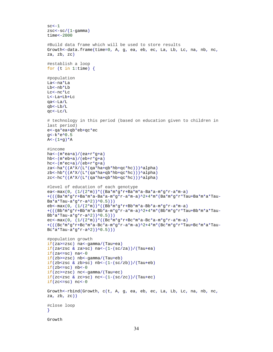```
sc - 1zsc < -sc/(1-gamma)time<-2000
#Build data frame which will be used to store results
Growth<-data.frame(time=0, A, g, ea, eb, ec, La, Lb, Lc, na, nb, nc, 
za, zb, zc) 
#establish a loop
for (t in 1:time) {
#population
La<-na*La
Lb<-nb*Lb
Lc<-nc*Lc
L<-La+Lb+Lc
qa<-La/L
qb<-Lb/L
qc<-Lc/L
# technology in this period (based on education given to children in 
last period)
e<-qa*ea+qb*eb+qc*ec
g<-k*e^0.5
A < - (1 + g) * A#income
ha<-(m*ea+a)/(ea+r*g+a) 
hb<-(m*eb+a)/(eb+r*g+a) 
hc<-(m*ec+a)/(eb+r*g+a) 
za<-ha*((A*X/(L*(qa*ha+qb*hb+qc*hc)))^alpha) 
zb < -hb * ((A * X / (L * (qa * ha + qb * hb + qc * hc))) \land alpha)zc<-hc*((A*X/(L*(qa*ha+qb*hb+qc*hc)))^alpha) 
#level of education of each genotype
ea<-max(0, (1/(2*m))*((Ba*m*g*r+Ba*m*a-Ba*a-m*g*r-a*m-a) 
+(((Ba*m*g*r+Ba*m*a-Ba*a-m*g*r-a*m-a)^2+4*m*(Ba*m*g*r*Tau+Ba*m*a*Tau-
Ba*a*Tau-a*g*r-a^2))^0.5)))
eb<-max(0, (1/(2<sup>*</sup>m))<sup>*</sup> (Bb*m*q*r+Bb*m*a-Bb*a-m*q*r-a*m-a)
+(((Bb*m*g*r+Bb*m*a-Bb*a-m*g*r-a*m-a)^2+4*m*(Bb*m*g*r*Tau+Bb*m*a*Tau-
Bb*a*Tau-a*g*r-a^2))^0.5)))
ec<-max(0, (1/(2*m))*(Bc*m*g*r+BC*m*a-Bc*a-m*g*r-a*m-a)+(((Bc*m*g*r+Bc*m*a-Bc*a-m*g*r-a*m-a)^2+4*m*(Bc*m*g*r*Tau+Bc*m*a*Tau-
Bc*a*Tau-a*g*r-a^2))^0.5))) 
#population growth
if(za>=zsc) na<-gamma/(Tau+ea) 
if(za < zsc \& za > sc) na < -(1-(sc/za))/(Tau + ea)if(za<=sc) na<-0if(zb)=zsc) nb<-qamma/(Tau+eb)if(zb < zsc \& zb > sc) nb < -(1 - (sc/zb)) / (Tau + eb)if(zb<=sc) nb<-0if(zc>=zsc) nc<-gamma/(Tau+ec) 
if(zczsc \& zczsc) nc<-(1-(sc/zc))/(Tau+ec)if(zc<=sc) nc<-0
Growth<-rbind(Growth, c(t, A, g, ea, eb, ec, La, Lb, Lc, na, nb, nc, 
za, zb, zc))
#close loop
} 
Growth
```

```
34
```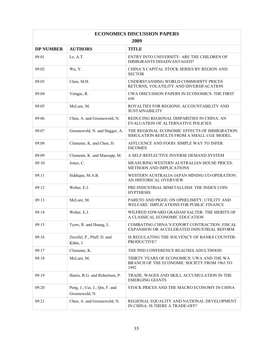| <b>ECONOMICS DISCUSSION PAPERS</b> |                                                  |                                                                                                  |  |  |  |
|------------------------------------|--------------------------------------------------|--------------------------------------------------------------------------------------------------|--|--|--|
| 2009                               |                                                  |                                                                                                  |  |  |  |
| <b>DP NUMBER</b>                   | <b>AUTHORS</b>                                   | <b>TITLE</b>                                                                                     |  |  |  |
| 09.01                              | Le, A.T.                                         | ENTRY INTO UNIVERSITY: ARE THE CHILDREN OF<br><b>IMMIGRANTS DISADVANTAGED?</b>                   |  |  |  |
| 09.02                              | Wu, Y.                                           | CHINA'S CAPITAL STOCK SERIES BY REGION AND<br><b>SECTOR</b>                                      |  |  |  |
| 09.03                              | Chen, M.H.                                       | UNDERSTANDING WORLD COMMODITY PRICES<br>RETURNS, VOLATILITY AND DIVERSIFACATION                  |  |  |  |
| 09.04                              | Velagic, R.                                      | UWA DISCUSSION PAPERS IN ECONOMICS: THE FIRST<br>650                                             |  |  |  |
| 09.05                              | McLure, M.                                       | ROYALTIES FOR REGIONS: ACCOUNTABILITY AND<br><b>SUSTAINABILITY</b>                               |  |  |  |
| 09.06                              | Chen, A. and Groenewold, N.                      | REDUCING REGIONAL DISPARITIES IN CHINA: AN<br>EVALUATION OF ALTERNATIVE POLICIES                 |  |  |  |
| 09.07                              | Groenewold, N. and Hagger, A.                    | THE REGIONAL ECONOMIC EFFECTS OF IMMIGRATION:<br>SIMULATION RESULTS FROM A SMALL CGE MODEL.      |  |  |  |
| 09.08                              | Clements, K. and Chen, D.                        | AFFLUENCE AND FOOD: SIMPLE WAY TO INFER<br><b>INCOMES</b>                                        |  |  |  |
| 09.09                              | Clements, K. and Maesepp, M.                     | A SELF-REFLECTIVE INVERSE DEMAND SYSTEM                                                          |  |  |  |
| 09.10                              | Jones, C.                                        | MEASURING WESTERN AUSTRALIAN HOUSE PRICES:<br><b>METHODS AND IMPLICATIONS</b>                    |  |  |  |
| 09.11                              | Siddique, M.A.B.                                 | WESTERN AUSTRALIA-JAPAN MINING CO-OPERATION:<br>AN HISTORICAL OVERVIEW                           |  |  |  |
| 09.12                              | Weber, E.J.                                      | PRE-INDUSTRIAL BIMETALLISM: THE INDEX COIN<br><b>HYPTHESIS</b>                                   |  |  |  |
| 09.13                              | McLure, M.                                       | PARETO AND PIGOU ON OPHELIMITY, UTILITY AND<br>WELFARE: IMPLICATIONS FOR PUBLIC FINANCE          |  |  |  |
| 09.14                              | Weber, E.J.                                      | WILFRED EDWARD GRAHAM SALTER: THE MERITS OF<br>A CLASSICAL ECONOMIC EDUCATION                    |  |  |  |
| 09.15                              | Tyers, R. and Huang, L.                          | COMBATING CHINA'S EXPORT CONTRACTION: FISCAL<br>EXPANSION OR ACCELERATED INDUSTRIAL REFORM       |  |  |  |
| 09.16                              | Zweifel, P., Plaff, D. and<br>Kühn, J.           | IS REGULATING THE SOLVENCY OF BANKS COUNTER-<br>PRODUCTIVE?                                      |  |  |  |
| 09.17                              | Clements, K.                                     | THE PHD CONFERENCE REACHES ADULTHOOD                                                             |  |  |  |
| 09.18                              | McLure, M.                                       | THIRTY YEARS OF ECONOMICS: UWA AND THE WA<br>BRANCH OF THE ECONOMIC SOCIETY FROM 1963 TO<br>1992 |  |  |  |
| 09.19                              | Harris, R.G. and Robertson, P.                   | TRADE, WAGES AND SKILL ACCUMULATION IN THE<br><b>EMERGING GIANTS</b>                             |  |  |  |
| 09.20                              | Peng, J., Cui, J., Qin, F. and<br>Groenewold, N. | STOCK PRICES AND THE MACRO ECONOMY IN CHINA                                                      |  |  |  |
| 09.21                              | Chen, A. and Groenewold, N.                      | REGIONAL EQUALITY AND NATIONAL DEVELOPMENT<br>IN CHINA: IS THERE A TRADE-OFF?                    |  |  |  |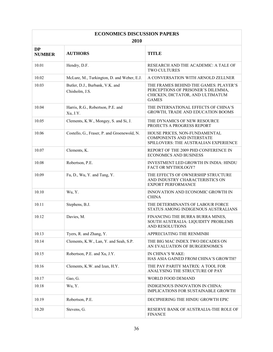| <b>ECONOMICS DISCUSSION PAPERS</b> |                                                   |                                                                                                                                 |  |  |  |
|------------------------------------|---------------------------------------------------|---------------------------------------------------------------------------------------------------------------------------------|--|--|--|
| 2010                               |                                                   |                                                                                                                                 |  |  |  |
| <b>DP</b><br><b>NUMBER</b>         | <b>AUTHORS</b>                                    | <b>TITLE</b>                                                                                                                    |  |  |  |
| 10.01                              | Hendry, D.F.                                      | RESEARCH AND THE ACADEMIC: A TALE OF<br><b>TWO CULTURES</b>                                                                     |  |  |  |
| 10.02                              | McLure, M., Turkington, D. and Weber, E.J.        | A CONVERSATION WITH ARNOLD ZELLNER                                                                                              |  |  |  |
| 10.03                              | Butler, D.J., Burbank, V.K. and<br>Chisholm, J.S. | THE FRAMES BEHIND THE GAMES: PLAYER'S<br>PERCEPTIONS OF PRISONER'S DILEMMA,<br>CHICKEN, DICTATOR, AND ULTIMATUM<br><b>GAMES</b> |  |  |  |
| 10.04                              | Harris, R.G., Robertson, P.E. and<br>Xu, J.Y.     | THE INTERNATIONAL EFFECTS OF CHINA'S<br>GROWTH, TRADE AND EDUCATION BOOMS                                                       |  |  |  |
| 10.05                              | Clements, K.W., Mongey, S. and Si, J.             | THE DYNAMICS OF NEW RESOURCE<br>PROJECTS A PROGRESS REPORT                                                                      |  |  |  |
| 10.06                              | Costello, G., Fraser, P. and Groenewold, N.       | HOUSE PRICES, NON-FUNDAMENTAL<br><b>COMPONENTS AND INTERSTATE</b><br>SPILLOVERS: THE AUSTRALIAN EXPERIENCE                      |  |  |  |
| 10.07                              | Clements, K.                                      | REPORT OF THE 2009 PHD CONFERENCE IN<br><b>ECONOMICS AND BUSINESS</b>                                                           |  |  |  |
| 10.08                              | Robertson, P.E.                                   | <b>INVESTMENT LED GROWTH IN INDIA: HINDU</b><br>FACT OR MYTHOLOGY?                                                              |  |  |  |
| 10.09                              | Fu, D., Wu, Y. and Tang, Y.                       | THE EFFECTS OF OWNERSHIP STRUCTURE<br>AND INDUSTRY CHARACTERISTICS ON<br><b>EXPORT PERFORMANCE</b>                              |  |  |  |
| 10.10                              | Wu, Y.                                            | INNOVATION AND ECONOMIC GROWTH IN<br><b>CHINA</b>                                                                               |  |  |  |
| 10.11                              | Stephens, B.J.                                    | THE DETERMINANTS OF LABOUR FORCE<br>STATUS AMONG INDIGENOUS AUSTRALIANS                                                         |  |  |  |
| 10.12                              | Davies, M.                                        | FINANCING THE BURRA BURRA MINES,<br>SOUTH AUSTRALIA: LIQUIDITY PROBLEMS<br>AND RESOLUTIONS                                      |  |  |  |
| 10.13                              | Tyers, R. and Zhang, Y.                           | APPRECIATING THE RENMINBI                                                                                                       |  |  |  |
| 10.14                              | Clements, K.W., Lan, Y. and Seah, S.P.            | THE BIG MAC INDEX TWO DECADES ON<br>AN EVALUATION OF BURGERNOMICS                                                               |  |  |  |
| 10.15                              | Robertson, P.E. and Xu, J.Y.                      | IN CHINA'S WAKE:<br>HAS ASIA GAINED FROM CHINA'S GROWTH?                                                                        |  |  |  |
| 10.16                              | Clements, K.W. and Izan, H.Y.                     | THE PAY PARITY MATRIX: A TOOL FOR<br>ANALYSING THE STRUCTURE OF PAY                                                             |  |  |  |
| 10.17                              | Gao, G.                                           | <b>WORLD FOOD DEMAND</b>                                                                                                        |  |  |  |
| 10.18                              | Wu, Y.                                            | INDIGENOUS INNOVATION IN CHINA:<br>IMPLICATIONS FOR SUSTAINABLE GROWTH                                                          |  |  |  |
| 10.19                              | Robertson, P.E.                                   | DECIPHERING THE HINDU GROWTH EPIC                                                                                               |  |  |  |
| 10.20                              | Stevens, G.                                       | RESERVE BANK OF AUSTRALIA-THE ROLE OF<br><b>FINANCE</b>                                                                         |  |  |  |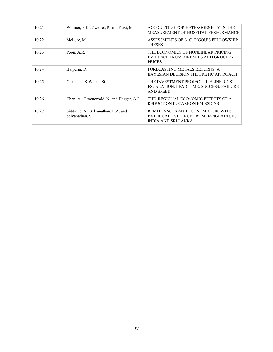| 10.21 | Widmer, P.K., Zweifel, P. and Farsi, M.                | ACCOUNTING FOR HETEROGENEITY IN THE<br>MEASUREMENT OF HOSPITAL PERFORMANCE                            |
|-------|--------------------------------------------------------|-------------------------------------------------------------------------------------------------------|
| 10.22 | McLure, M.                                             | ASSESSMENTS OF A. C. PIGOU'S FELLOWSHIP<br><b>THESES</b>                                              |
| 10.23 | Poon, A.R.                                             | THE ECONOMICS OF NONLINEAR PRICING:<br>EVIDENCE FROM AIRFARES AND GROCERY<br><b>PRICES</b>            |
| 10.24 | Halperin, D.                                           | FORECASTING METALS RETURNS: A<br>BAYESIAN DECISION THEORETIC APPROACH                                 |
| 10.25 | Clements, K.W. and Si. J.                              | THE INVESTMENT PROJECT PIPELINE: COST<br>ESCALATION, LEAD-TIME, SUCCESS, FAILURE<br><b>AND SPEED</b>  |
| 10.26 | Chen, A., Groenewold, N. and Hagger, A.J.              | THE REGIONAL ECONOMIC EFFECTS OF A<br><b>REDUCTION IN CARBON EMISSIONS</b>                            |
| 10.27 | Siddique, A., Selvanathan, E.A. and<br>Selvanathan, S. | REMITTANCES AND ECONOMIC GROWTH:<br>EMPIRICAL EVIDENCE FROM BANGLADESH.<br><b>INDIA AND SRI LANKA</b> |